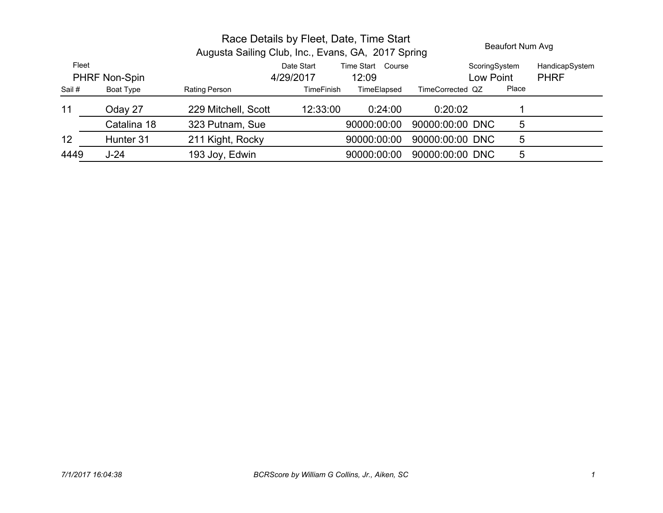|               |                     |                   | Beaufort Num Avg |            |                                                                                                         |                                                                                                         |
|---------------|---------------------|-------------------|------------------|------------|---------------------------------------------------------------------------------------------------------|---------------------------------------------------------------------------------------------------------|
| PHRF Non-Spin |                     | Date Start        | 12:09            |            |                                                                                                         | HandicapSystem<br><b>PHRF</b>                                                                           |
| Boat Type     | Rating Person       | <b>TimeFinish</b> | TimeElapsed      |            | Place                                                                                                   |                                                                                                         |
| Oday 27       | 229 Mitchell, Scott | 12:33:00          | 0:24:00          | 0:20:02    |                                                                                                         |                                                                                                         |
| Catalina 18   | 323 Putnam, Sue     |                   | 90000:00:00      |            | 5                                                                                                       |                                                                                                         |
| Hunter 31     | 211 Kight, Rocky    |                   | 90000:00:00      |            | 5                                                                                                       |                                                                                                         |
| $J-24$        | 193 Joy, Edwin      |                   | 90000:00:00      |            | 5                                                                                                       |                                                                                                         |
|               |                     |                   | 4/29/2017        | Time Start | Race Details by Fleet, Date, Time Start<br>Augusta Sailing Club, Inc., Evans, GA, 2017 Spring<br>Course | ScoringSystem<br>Low Point<br>TimeCorrected QZ<br>90000:00:00 DNC<br>90000:00:00 DNC<br>90000:00:00 DNC |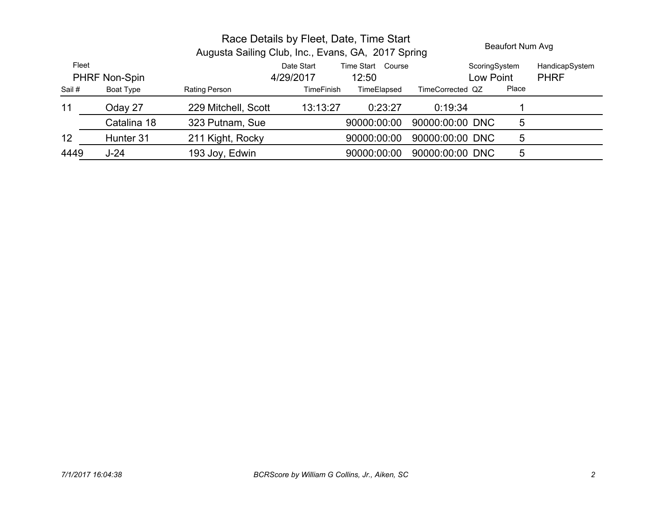|                        |             | Race Details by Fleet, Date, Time Start<br>Augusta Sailing Club, Inc., Evans, GA, 2017 Spring |                         |                            |                  |                            | Beaufort Num Avg |                               |
|------------------------|-------------|-----------------------------------------------------------------------------------------------|-------------------------|----------------------------|------------------|----------------------------|------------------|-------------------------------|
| Fleet<br>PHRF Non-Spin |             |                                                                                               | Date Start<br>4/29/2017 | Time Start Course<br>12:50 |                  | ScoringSystem<br>Low Point |                  | HandicapSystem<br><b>PHRF</b> |
| Sail #                 | Boat Type   | Rating Person                                                                                 | <b>TimeFinish</b>       | TimeElapsed                | TimeCorrected QZ |                            | Place            |                               |
| 11                     | Oday 27     | 229 Mitchell, Scott                                                                           | 13:13:27                | 0:23:27                    | 0:19:34          |                            |                  |                               |
|                        | Catalina 18 | 323 Putnam, Sue                                                                               |                         | 90000:00:00                | 90000:00:00 DNC  |                            | 5                |                               |
| 12                     | Hunter 31   | 211 Kight, Rocky                                                                              |                         | 90000:00:00                | 90000:00:00 DNC  |                            | 5                |                               |
| 4449                   | $J-24$      | 193 Joy, Edwin                                                                                |                         | 90000:00:00                | 90000:00:00 DNC  |                            | 5                |                               |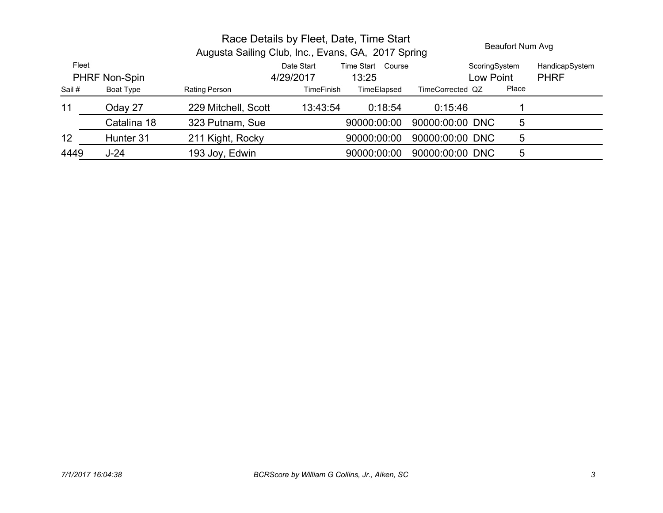|                        |             | Race Details by Fleet, Date, Time Start<br>Augusta Sailing Club, Inc., Evans, GA, 2017 Spring |                         |                            |                  |                            | Beaufort Num Avg |                               |
|------------------------|-------------|-----------------------------------------------------------------------------------------------|-------------------------|----------------------------|------------------|----------------------------|------------------|-------------------------------|
| Fleet<br>PHRF Non-Spin |             |                                                                                               | Date Start<br>4/29/2017 | Time Start Course<br>13:25 |                  | ScoringSystem<br>Low Point |                  | HandicapSystem<br><b>PHRF</b> |
| Sail #                 | Boat Type   | Rating Person                                                                                 | <b>TimeFinish</b>       | TimeElapsed                | TimeCorrected QZ |                            | Place            |                               |
| 11                     | Oday 27     | 229 Mitchell, Scott                                                                           | 13:43:54                | 0:18:54                    | 0:15:46          |                            |                  |                               |
|                        | Catalina 18 | 323 Putnam, Sue                                                                               |                         | 90000:00:00                | 90000:00:00 DNC  |                            | 5                |                               |
| 12                     | Hunter 31   | 211 Kight, Rocky                                                                              |                         | 90000:00:00                | 90000:00:00 DNC  |                            | 5                |                               |
| 4449                   | $J-24$      | 193 Joy, Edwin                                                                                |                         | 90000:00:00                | 90000:00:00 DNC  |                            | 5                |                               |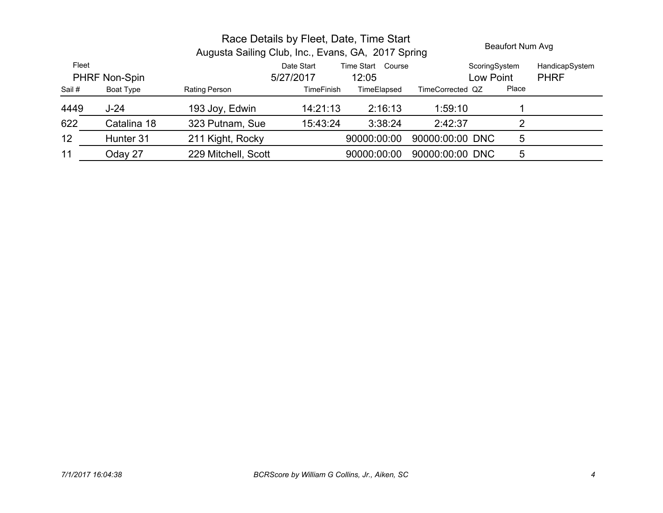|                               |             | Augusta Sailing Club, Inc., Evans, GA, 2017 Spring | Race Details by Fleet, Date, Time Start |                               |                  | Beaufort Num Avg |                               |
|-------------------------------|-------------|----------------------------------------------------|-----------------------------------------|-------------------------------|------------------|------------------|-------------------------------|
| Fleet<br><b>PHRF Non-Spin</b> |             |                                                    | Date Start<br>5/27/2017                 | Time Start<br>Course<br>12:05 | Low Point        | ScoringSystem    | HandicapSystem<br><b>PHRF</b> |
| Sail #                        | Boat Type   | Rating Person                                      | <b>TimeFinish</b>                       | TimeElapsed                   | TimeCorrected QZ | Place            |                               |
| 4449                          | $J-24$      | 193 Joy, Edwin                                     | 14:21:13                                | 2:16:13                       | 1:59:10          |                  |                               |
| 622                           | Catalina 18 | 323 Putnam, Sue                                    | 15:43:24                                | 3:38:24                       | 2:42:37          |                  |                               |
| 12                            | Hunter 31   | 211 Kight, Rocky                                   |                                         | 90000:00:00                   | 90000:00:00 DNC  | 5                |                               |
| 11                            | Oday 27     | 229 Mitchell, Scott                                |                                         | 90000:00:00                   | 90000:00:00 DNC  | 5                |                               |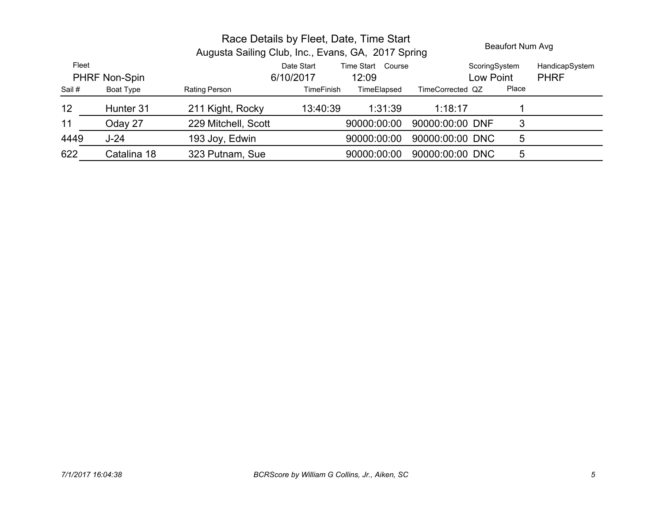|        |               | Augusta Sailing Club, Inc., Evans, GA, 2017 Spring | Race Details by Fleet, Date, Time Start |                            |                  | Beaufort Num Avg           |                               |
|--------|---------------|----------------------------------------------------|-----------------------------------------|----------------------------|------------------|----------------------------|-------------------------------|
| Fleet  | PHRF Non-Spin |                                                    | Date Start<br>6/10/2017                 | Time Start Course<br>12:09 |                  | ScoringSystem<br>Low Point | HandicapSystem<br><b>PHRF</b> |
| Sail # | Boat Type     | Rating Person                                      | <b>TimeFinish</b>                       | TimeElapsed                | TimeCorrected QZ | Place                      |                               |
| 12     | Hunter 31     | 211 Kight, Rocky                                   | 13:40:39                                | 1:31:39                    | 1:18:17          |                            |                               |
| 11     | Oday 27       | 229 Mitchell, Scott                                |                                         | 90000:00:00                | 90000:00:00 DNF  | 3                          |                               |
| 4449   | $J-24$        | 193 Joy, Edwin                                     |                                         | 90000:00:00                | 90000:00:00 DNC  | 5                          |                               |
| 622    | Catalina 18   | 323 Putnam, Sue                                    |                                         | 90000:00:00                | 90000:00:00 DNC  | 5                          |                               |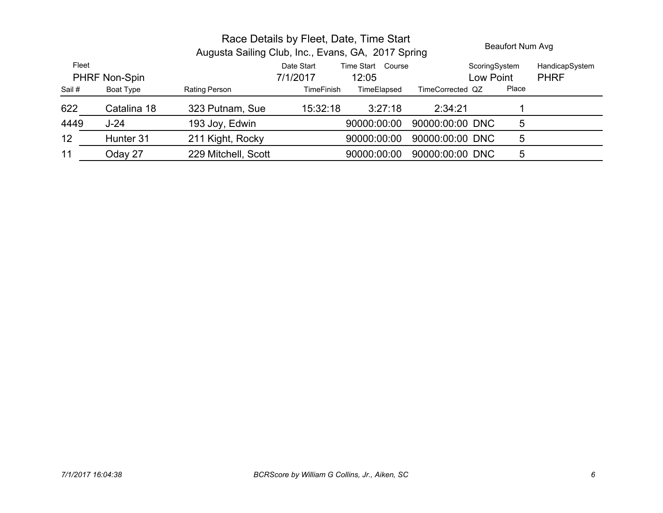|                               | Race Details by Fleet, Date, Time Start<br>Augusta Sailing Club, Inc., Evans, GA, 2017 Spring |                     | Beaufort Num Avg       |                               |                  |                            |       |                               |
|-------------------------------|-----------------------------------------------------------------------------------------------|---------------------|------------------------|-------------------------------|------------------|----------------------------|-------|-------------------------------|
| Fleet<br><b>PHRF Non-Spin</b> |                                                                                               |                     | Date Start<br>7/1/2017 | Time Start<br>Course<br>12:05 |                  | ScoringSystem<br>Low Point |       | HandicapSystem<br><b>PHRF</b> |
| Sail #                        | Boat Type                                                                                     | Rating Person       | <b>TimeFinish</b>      | TimeElapsed                   | TimeCorrected QZ |                            | Place |                               |
| 622                           | Catalina 18                                                                                   | 323 Putnam, Sue     | 15:32:18               | 3:27:18                       | 2:34:21          |                            |       |                               |
| 4449                          | $J-24$                                                                                        | 193 Joy, Edwin      |                        | 90000:00:00                   | 90000:00:00 DNC  |                            | 5     |                               |
| 12                            | Hunter 31                                                                                     | 211 Kight, Rocky    |                        | 90000:00:00                   | 90000:00:00 DNC  |                            | 5     |                               |
| 11                            | Oday 27                                                                                       | 229 Mitchell, Scott |                        | 90000:00:00                   | 90000:00:00 DNC  |                            | 5     |                               |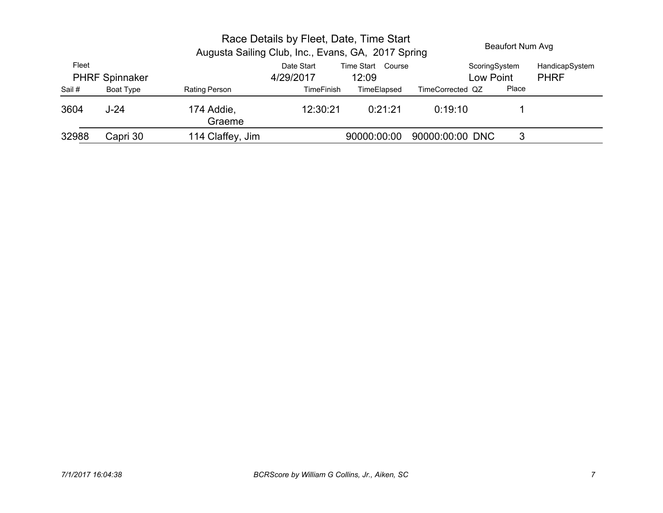|        |                       |                      | Race Details by Fleet, Date, Time Start<br>Augusta Sailing Club, Inc., Evans, GA, 2017 Spring |                            |                            | Beaufort Num Avg |                               |
|--------|-----------------------|----------------------|-----------------------------------------------------------------------------------------------|----------------------------|----------------------------|------------------|-------------------------------|
| Fleet  | <b>PHRF Spinnaker</b> |                      | Date Start<br>4/29/2017                                                                       | Time Start Course<br>12:09 | ScoringSystem<br>Low Point |                  | HandicapSystem<br><b>PHRF</b> |
| Sail # | Boat Type             | Rating Person        | TimeFinish                                                                                    | TimeElapsed                | TimeCorrected QZ           | Place            |                               |
| 3604   | $J-24$                | 174 Addie,<br>Graeme | 12:30:21                                                                                      | 0:21:21                    | 0:19:10                    |                  |                               |
| 32988  | Capri 30              | 114 Claffey, Jim     |                                                                                               | 90000:00:00                | 90000:00:00 DNC            | 3                |                               |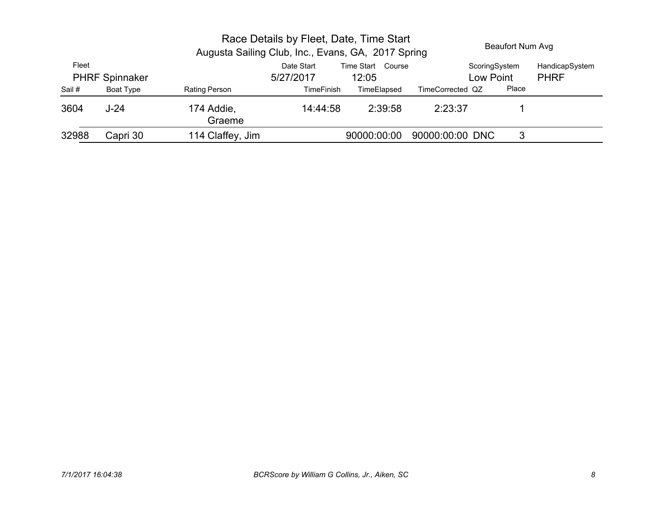|        |                       |                      | Race Details by Fleet, Date, Time Start<br>Augusta Sailing Club, Inc., Evans, GA, 2017 Spring |                            |                            | Beaufort Num Avg |                               |
|--------|-----------------------|----------------------|-----------------------------------------------------------------------------------------------|----------------------------|----------------------------|------------------|-------------------------------|
| Fleet  | <b>PHRF Spinnaker</b> |                      | Date Start<br>5/27/2017                                                                       | Time Start Course<br>12:05 | ScoringSystem<br>Low Point |                  | HandicapSystem<br><b>PHRF</b> |
| Sail # | Boat Type             | <b>Rating Person</b> | <b>TimeFinish</b>                                                                             | TimeElapsed                | TimeCorrected QZ           | Place            |                               |
| 3604   | $J-24$                | 174 Addie,<br>Graeme | 14:44:58                                                                                      | 2:39:58                    | 2:23:37                    |                  |                               |
| 32988  | Capri 30              | 114 Claffey, Jim     |                                                                                               | 90000:00:00                | 90000:00:00 DNC            | 3                |                               |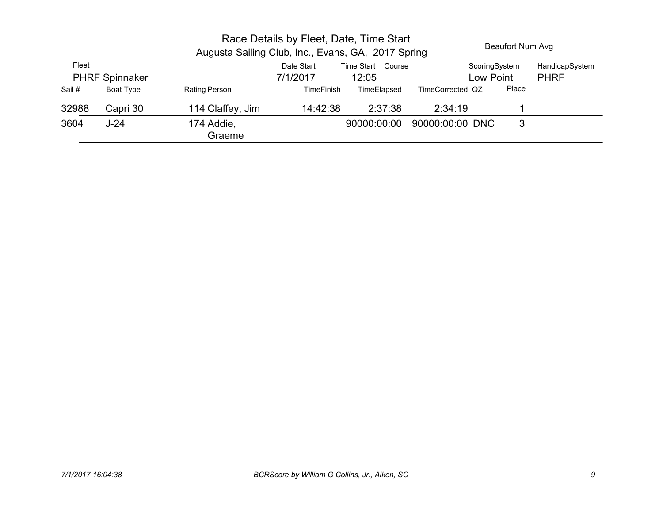|        |                       |                      | Race Details by Fleet, Date, Time Start<br>Augusta Sailing Club, Inc., Evans, GA, 2017 Spring |                            |                            | Beaufort Num Avg |                               |
|--------|-----------------------|----------------------|-----------------------------------------------------------------------------------------------|----------------------------|----------------------------|------------------|-------------------------------|
| Fleet  | <b>PHRF Spinnaker</b> |                      | Date Start<br>7/1/2017                                                                        | Time Start Course<br>12:05 | ScoringSystem<br>Low Point |                  | HandicapSystem<br><b>PHRF</b> |
| Sail # | Boat Type             | Rating Person        | <b>TimeFinish</b>                                                                             | TimeElapsed                | TimeCorrected QZ           | Place            |                               |
| 32988  | Capri 30              | 114 Claffey, Jim     | 14:42:38                                                                                      | 2:37:38                    | 2:34:19                    |                  |                               |
| 3604   | $J-24$                | 174 Addie,<br>Graeme |                                                                                               | 90000:00:00                | 90000:00:00 DNC            | 3                |                               |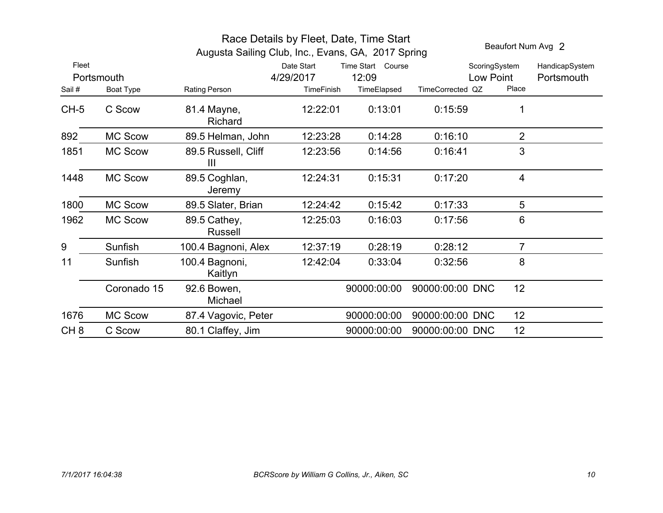| Augusta Sailing Club, Inc., Evans, GA, 2017 Spring |                |                               |                   |                   |                  | Beaufort Num Avg 2 |                |
|----------------------------------------------------|----------------|-------------------------------|-------------------|-------------------|------------------|--------------------|----------------|
| Fleet                                              |                |                               | Date Start        | Time Start Course |                  | ScoringSystem      | HandicapSystem |
|                                                    | Portsmouth     |                               | 4/29/2017         | 12:09             |                  | Low Point          | Portsmouth     |
| Sail#                                              | Boat Type      | Rating Person                 | <b>TimeFinish</b> | TimeElapsed       | TimeCorrected QZ | Place              |                |
| $CH-5$                                             | C Scow         | 81.4 Mayne,<br><b>Richard</b> | 12:22:01          | 0:13:01           | 0:15:59          |                    |                |
| 892                                                | <b>MC Scow</b> | 89.5 Helman, John             | 12:23:28          | 0:14:28           | 0:16:10          | $\overline{2}$     |                |
| 1851                                               | <b>MC Scow</b> | 89.5 Russell, Cliff<br>Ш      | 12:23:56          | 0:14:56           | 0:16:41          | 3                  |                |
| 1448                                               | <b>MC Scow</b> | 89.5 Coghlan,<br>Jeremy       | 12:24:31          | 0:15:31           | 0:17:20          | $\overline{4}$     |                |
| 1800                                               | <b>MC Scow</b> | 89.5 Slater, Brian            | 12:24:42          | 0:15:42           | 0:17:33          | 5                  |                |
| 1962                                               | <b>MC Scow</b> | 89.5 Cathey,<br>Russell       | 12:25:03          | 0:16:03           | 0:17:56          | 6                  |                |
| 9                                                  | Sunfish        | 100.4 Bagnoni, Alex           | 12:37:19          | 0:28:19           | 0:28:12          | $\overline{7}$     |                |
| 11                                                 | Sunfish        | 100.4 Bagnoni,<br>Kaitlyn     | 12:42:04          | 0:33:04           | 0:32:56          | 8                  |                |
|                                                    | Coronado 15    | 92.6 Bowen,<br>Michael        |                   | 90000:00:00       | 90000:00:00 DNC  | 12                 |                |
| 1676                                               | MC Scow        | 87.4 Vagovic, Peter           |                   | 90000:00:00       | 90000:00:00 DNC  | 12 <sub>2</sub>    |                |
| CH <sub>8</sub>                                    | C Scow         | 80.1 Claffey, Jim             |                   | 90000:00:00       | 90000:00:00 DNC  | 12                 |                |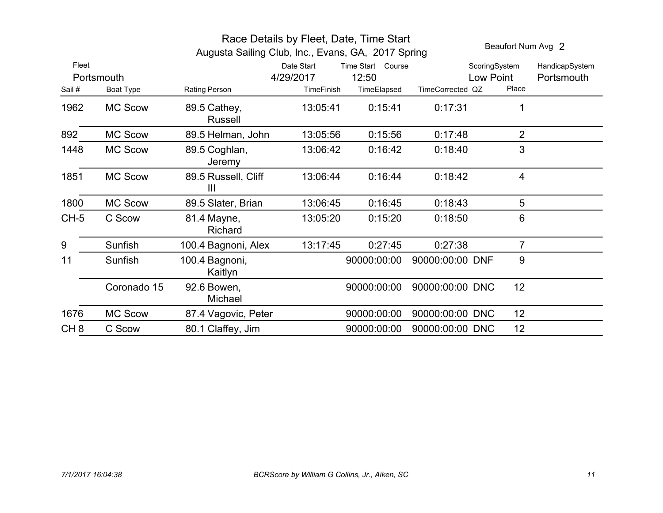|                 |                         |                                |                                              | Race Details by Fleet, Date, Time Start<br>Augusta Sailing Club, Inc., Evans, GA, 2017 Spring |                  |                                     | Beaufort Num Avg 2           |
|-----------------|-------------------------|--------------------------------|----------------------------------------------|-----------------------------------------------------------------------------------------------|------------------|-------------------------------------|------------------------------|
| Fleet<br>Sail#  | Portsmouth<br>Boat Type | Rating Person                  | Date Start<br>4/29/2017<br><b>TimeFinish</b> | Time Start Course<br>12:50<br>TimeElapsed                                                     | TimeCorrected QZ | ScoringSystem<br>Low Point<br>Place | HandicapSystem<br>Portsmouth |
| 1962            | <b>MC Scow</b>          | 89.5 Cathey,<br><b>Russell</b> | 13:05:41                                     | 0:15:41                                                                                       | 0:17:31          | 1                                   |                              |
| 892             | <b>MC Scow</b>          | 89.5 Helman, John              | 13:05:56                                     | 0:15:56                                                                                       | 0:17:48          | $\overline{2}$                      |                              |
| 1448            | <b>MC Scow</b>          | 89.5 Coghlan,<br>Jeremy        | 13:06:42                                     | 0:16:42                                                                                       | 0:18:40          | 3                                   |                              |
| 1851            | <b>MC Scow</b>          | 89.5 Russell, Cliff<br>Ш       | 13:06:44                                     | 0:16:44                                                                                       | 0:18:42          | $\overline{4}$                      |                              |
| 1800            | <b>MC Scow</b>          | 89.5 Slater, Brian             | 13:06:45                                     | 0:16:45                                                                                       | 0:18:43          | 5                                   |                              |
| $CH-5$          | C Scow                  | 81.4 Mayne,<br><b>Richard</b>  | 13:05:20                                     | 0:15:20                                                                                       | 0:18:50          | 6                                   |                              |
| 9               | Sunfish                 | 100.4 Bagnoni, Alex            | 13:17:45                                     | 0:27:45                                                                                       | 0:27:38          | $\overline{7}$                      |                              |
| 11              | Sunfish                 | 100.4 Bagnoni,<br>Kaitlyn      |                                              | 90000:00:00                                                                                   | 90000:00:00 DNF  | 9                                   |                              |
|                 | Coronado 15             | 92.6 Bowen,<br>Michael         |                                              | 90000:00:00                                                                                   | 90000:00:00 DNC  | 12                                  |                              |
| 1676            | <b>MC Scow</b>          | 87.4 Vagovic, Peter            |                                              | 90000:00:00                                                                                   | 90000:00:00 DNC  | 12 <sup>2</sup>                     |                              |
| CH <sub>8</sub> | C Scow                  | 80.1 Claffey, Jim              |                                              | 90000:00:00                                                                                   | 90000:00:00 DNC  | 12                                  |                              |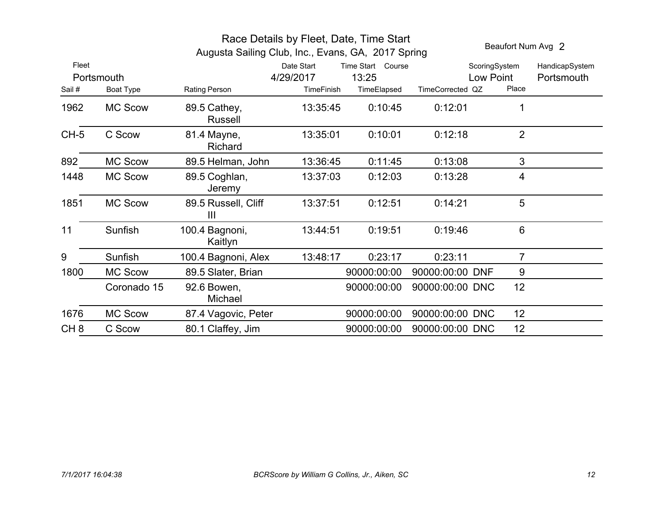|                 |                | Beaufort Num Avg 2        |            |                   |                  |                 |                |
|-----------------|----------------|---------------------------|------------|-------------------|------------------|-----------------|----------------|
| Fleet           |                |                           | Date Start | Time Start Course |                  | ScoringSystem   | HandicapSystem |
|                 | Portsmouth     |                           | 4/29/2017  | 13:25             |                  | Low Point       | Portsmouth     |
| Sail#           | Boat Type      | Rating Person             | TimeFinish | TimeElapsed       | TimeCorrected QZ | Place           |                |
| 1962            | <b>MC Scow</b> | 89.5 Cathey,<br>Russell   | 13:35:45   | 0:10:45           | 0:12:01          | 1               |                |
| $CH-5$          | C Scow         | 81.4 Mayne,<br>Richard    | 13:35:01   | 0:10:01           | 0:12:18          | $\overline{2}$  |                |
| 892             | <b>MC Scow</b> | 89.5 Helman, John         | 13:36:45   | 0:11:45           | 0:13:08          | 3               |                |
| 1448            | <b>MC Scow</b> | 89.5 Coghlan,<br>Jeremy   | 13:37:03   | 0:12:03           | 0:13:28          | 4               |                |
| 1851            | <b>MC Scow</b> | 89.5 Russell, Cliff<br>Ш  | 13:37:51   | 0:12:51           | 0:14:21          | 5               |                |
| 11              | Sunfish        | 100.4 Bagnoni,<br>Kaitlyn | 13:44:51   | 0:19:51           | 0.19:46          | 6               |                |
| 9               | Sunfish        | 100.4 Bagnoni, Alex       | 13:48:17   | 0:23:17           | 0:23:11          | $\overline{7}$  |                |
| 1800            | <b>MC Scow</b> | 89.5 Slater, Brian        |            | 90000:00:00       | 90000:00:00 DNF  | 9               |                |
|                 | Coronado 15    | 92.6 Bowen,<br>Michael    |            | 90000:00:00       | 90000:00:00 DNC  | 12 <sup>2</sup> |                |
| 1676            | <b>MC Scow</b> | 87.4 Vagovic, Peter       |            | 90000:00:00       | 90000:00:00 DNC  | 12              |                |
| CH <sub>8</sub> | C Scow         | 80.1 Claffey, Jim         |            | 90000:00:00       | 90000:00:00 DNC  | 12              |                |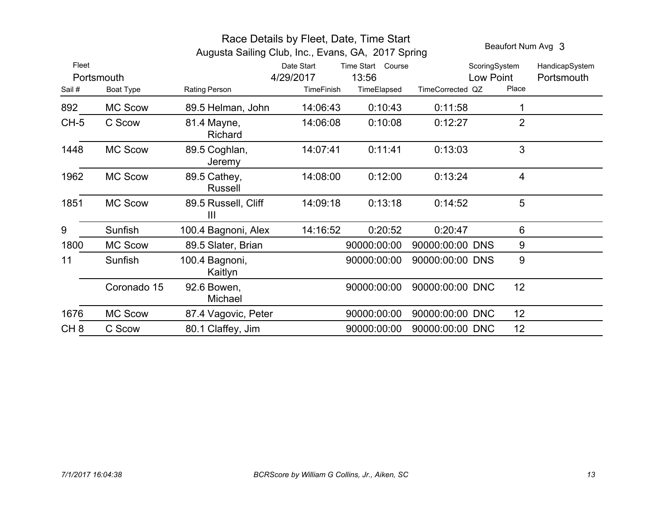|                 |                | Race Details by Fleet, Date, Time Start            | Beaufort Num Avg 3 |                   |                  |                |                |
|-----------------|----------------|----------------------------------------------------|--------------------|-------------------|------------------|----------------|----------------|
|                 |                | Augusta Sailing Club, Inc., Evans, GA, 2017 Spring |                    |                   |                  |                |                |
| Fleet           |                |                                                    | Date Start         | Time Start Course |                  | ScoringSystem  | HandicapSystem |
|                 | Portsmouth     |                                                    | 4/29/2017          | 13:56             |                  | Low Point      | Portsmouth     |
| Sail #          | Boat Type      | Rating Person                                      | <b>TimeFinish</b>  | TimeElapsed       | TimeCorrected QZ | Place          |                |
| 892             | <b>MC Scow</b> | 89.5 Helman, John                                  | 14:06:43           | 0:10:43           | 0:11:58          | 1              |                |
| $CH-5$          | C Scow         | 81.4 Mayne,<br>Richard                             | 14:06:08           | 0:10:08           | 0:12:27          | $\overline{2}$ |                |
| 1448            | <b>MC Scow</b> | 89.5 Coghlan,<br>Jeremy                            | 14:07:41           | 0:11:41           | 0:13:03          | 3              |                |
| 1962            | <b>MC Scow</b> | 89.5 Cathey,<br>Russell                            | 14:08:00           | 0:12:00           | 0:13:24          | 4              |                |
| 1851            | <b>MC Scow</b> | 89.5 Russell, Cliff<br>Ш                           | 14:09:18           | 0:13:18           | 0:14:52          | 5              |                |
| 9               | Sunfish        | 100.4 Bagnoni, Alex                                | 14:16:52           | 0:20:52           | 0:20:47          | 6              |                |
| 1800            | <b>MC Scow</b> | 89.5 Slater, Brian                                 |                    | 90000:00:00       | 90000:00:00 DNS  | 9              |                |
| 11              | Sunfish        | 100.4 Bagnoni,<br>Kaitlyn                          |                    | 90000:00:00       | 90000:00:00 DNS  | 9              |                |
|                 | Coronado 15    | 92.6 Bowen,<br>Michael                             |                    | 90000:00:00       | 90000:00:00 DNC  | 12             |                |
| 1676            | <b>MC Scow</b> | 87.4 Vagovic, Peter                                |                    | 90000:00:00       | 90000:00:00 DNC  | 12             |                |
| CH <sub>8</sub> | C Scow         | 80.1 Claffey, Jim                                  |                    | 90000:00:00       | 90000:00:00 DNC  | 12             |                |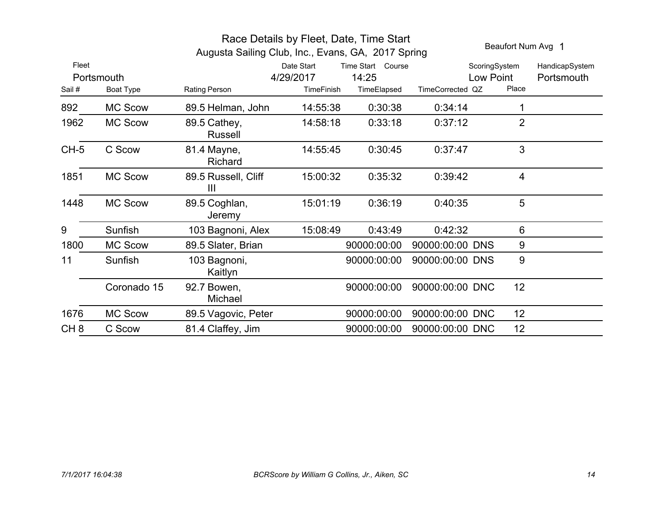|                 |                | Race Details by Fleet, Date, Time Start            | Beaufort Num Avg 1 |                   |                  |                 |                |  |
|-----------------|----------------|----------------------------------------------------|--------------------|-------------------|------------------|-----------------|----------------|--|
|                 |                | Augusta Sailing Club, Inc., Evans, GA, 2017 Spring |                    |                   |                  |                 |                |  |
| Fleet           |                |                                                    | Date Start         | Time Start Course |                  | ScoringSystem   | HandicapSystem |  |
|                 | Portsmouth     |                                                    | 4/29/2017          | 14:25             |                  | Low Point       | Portsmouth     |  |
| Sail#           | Boat Type      | Rating Person                                      | <b>TimeFinish</b>  | TimeElapsed       | TimeCorrected QZ | Place           |                |  |
| 892             | <b>MC Scow</b> | 89.5 Helman, John                                  | 14:55:38           | 0:30:38           | 0:34:14          |                 |                |  |
| 1962            | <b>MC Scow</b> | 89.5 Cathey,<br><b>Russell</b>                     | 14:58:18           | 0:33:18           | 0:37:12          | $\overline{2}$  |                |  |
| $CH-5$          | C Scow         | 81.4 Mayne,<br>Richard                             | 14:55:45           | 0:30:45           | 0.37:47          | 3               |                |  |
| 1851            | <b>MC Scow</b> | 89.5 Russell, Cliff<br>$\mathbf{III}$              | 15:00:32           | 0:35:32           | 0:39:42          | 4               |                |  |
| 1448            | <b>MC Scow</b> | 89.5 Coghlan,<br>Jeremy                            | 15:01:19           | 0:36:19           | 0:40:35          | 5               |                |  |
| 9               | Sunfish        | 103 Bagnoni, Alex                                  | 15:08:49           | 0:43:49           | 0:42:32          | 6               |                |  |
| 1800            | <b>MC Scow</b> | 89.5 Slater, Brian                                 |                    | 90000:00:00       | 90000:00:00 DNS  | 9               |                |  |
| 11              | Sunfish        | 103 Bagnoni,<br>Kaitlyn                            |                    | 90000:00:00       | 90000:00:00 DNS  | 9               |                |  |
|                 | Coronado 15    | 92.7 Bowen,<br>Michael                             |                    | 90000:00:00       | 90000:00:00 DNC  | 12              |                |  |
| 1676            | <b>MC Scow</b> | 89.5 Vagovic, Peter                                |                    | 90000:00:00       | 90000:00:00 DNC  | 12 <sub>2</sub> |                |  |
| CH <sub>8</sub> | C Scow         | 81.4 Claffey, Jim                                  |                    | 90000:00:00       | 90000:00:00 DNC  | 12              |                |  |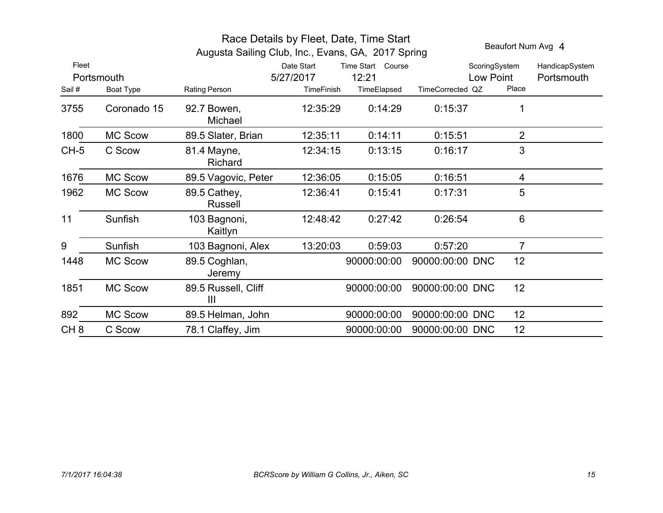|                 |                | Beaufort Num Avg 4                    |                   |                   |                  |                 |                |
|-----------------|----------------|---------------------------------------|-------------------|-------------------|------------------|-----------------|----------------|
| Fleet           |                |                                       | Date Start        | Time Start Course |                  | ScoringSystem   | HandicapSystem |
|                 | Portsmouth     |                                       | 5/27/2017         | 12:21             |                  | Low Point       | Portsmouth     |
| Sail#           | Boat Type      | Rating Person                         | <b>TimeFinish</b> | TimeElapsed       | TimeCorrected QZ | Place           |                |
| 3755            | Coronado 15    | 92.7 Bowen,<br>Michael                | 12:35:29          | 0:14:29           | 0:15:37          |                 |                |
| 1800            | <b>MC Scow</b> | 89.5 Slater, Brian                    | 12:35:11          | 0:14:11           | 0:15:51          | $\overline{2}$  |                |
| $CH-5$          | C Scow         | 81.4 Mayne,<br>Richard                | 12:34:15          | 0:13:15           | 0:16:17          | 3               |                |
| 1676            | <b>MC Scow</b> | 89.5 Vagovic, Peter                   | 12:36:05          | 0:15:05           | 0:16:51          | 4               |                |
| 1962            | <b>MC Scow</b> | 89.5 Cathey,<br><b>Russell</b>        | 12:36:41          | 0:15:41           | 0:17:31          | 5               |                |
| 11              | Sunfish        | 103 Bagnoni,<br>Kaitlyn               | 12:48:42          | 0:27:42           | 0:26:54          | 6               |                |
| 9               | Sunfish        | 103 Bagnoni, Alex                     | 13:20:03          | 0:59:03           | 0:57:20          | $\overline{7}$  |                |
| 1448            | <b>MC Scow</b> | 89.5 Coghlan,<br>Jeremy               |                   | 90000:00:00       | 90000:00:00 DNC  | 12 <sub>2</sub> |                |
| 1851            | <b>MC Scow</b> | 89.5 Russell, Cliff<br>$\mathbf{III}$ |                   | 90000:00:00       | 90000:00:00 DNC  | 12              |                |
| 892             | <b>MC Scow</b> | 89.5 Helman, John                     |                   | 90000:00:00       | 90000:00:00 DNC  | 12 <sub>2</sub> |                |
| CH <sub>8</sub> | C Scow         | 78.1 Claffey, Jim                     |                   | 90000:00:00       | 90000:00:00 DNC  | 12 <sub>2</sub> |                |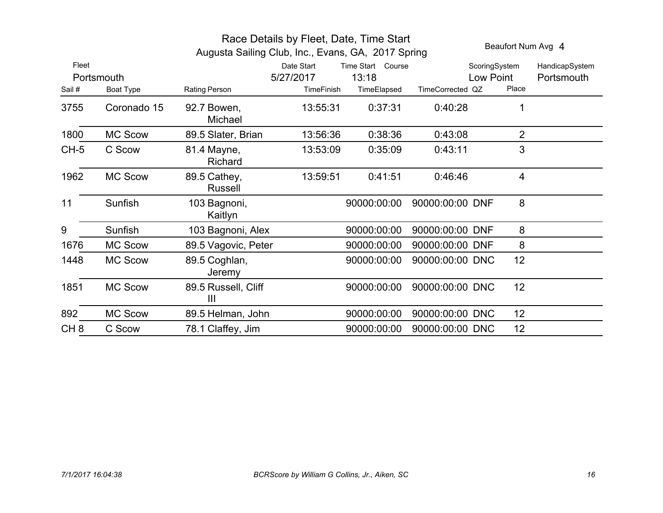| Race Details by Fleet, Date, Time Start<br>Augusta Sailing Club, Inc., Evans, GA, 2017 Spring |                |                                       |                         |                            |                  |                            |                | Beaufort Num Avg 4           |
|-----------------------------------------------------------------------------------------------|----------------|---------------------------------------|-------------------------|----------------------------|------------------|----------------------------|----------------|------------------------------|
| Fleet                                                                                         | Portsmouth     |                                       | Date Start<br>5/27/2017 | Time Start Course<br>13:18 |                  | ScoringSystem<br>Low Point |                | HandicapSystem<br>Portsmouth |
| Sail#                                                                                         | Boat Type      | Rating Person                         | TimeFinish              | TimeElapsed                | TimeCorrected QZ |                            | Place          |                              |
| 3755                                                                                          | Coronado 15    | 92.7 Bowen,<br>Michael                | 13:55:31                | 0:37:31                    | 0:40:28          |                            | $\mathbf 1$    |                              |
| 1800                                                                                          | <b>MC Scow</b> | 89.5 Slater, Brian                    | 13:56:36                | 0:38:36                    | 0:43:08          |                            | $\overline{2}$ |                              |
| $CH-5$                                                                                        | C Scow         | 81.4 Mayne,<br>Richard                | 13:53:09                | 0:35:09                    | 0:43:11          |                            | 3              |                              |
| 1962                                                                                          | <b>MC Scow</b> | 89.5 Cathey,<br>Russell               | 13:59:51                | 0:41:51                    | 0:46:46          |                            | 4              |                              |
| 11                                                                                            | Sunfish        | 103 Bagnoni,<br>Kaitlyn               |                         | 90000:00:00                | 90000:00:00 DNF  |                            | 8              |                              |
| 9                                                                                             | Sunfish        | 103 Bagnoni, Alex                     |                         | 90000:00:00                | 90000:00:00 DNF  |                            | 8              |                              |
| 1676                                                                                          | <b>MC Scow</b> | 89.5 Vagovic, Peter                   |                         | 90000:00:00                | 90000:00:00 DNF  |                            | 8              |                              |
| 1448                                                                                          | <b>MC Scow</b> | 89.5 Coghlan,<br>Jeremy               |                         | 90000:00:00                | 90000:00:00 DNC  |                            | 12             |                              |
| 1851                                                                                          | <b>MC Scow</b> | 89.5 Russell, Cliff<br>$\mathbf{III}$ |                         | 90000:00:00                | 90000:00:00 DNC  |                            | 12             |                              |
| 892                                                                                           | <b>MC Scow</b> | 89.5 Helman, John                     |                         | 90000:00:00                | 90000:00:00 DNC  |                            | 12             |                              |
| CH <sub>8</sub>                                                                               | C Scow         | 78.1 Claffey, Jim                     |                         | 90000:00:00                | 90000:00:00 DNC  |                            | 12             |                              |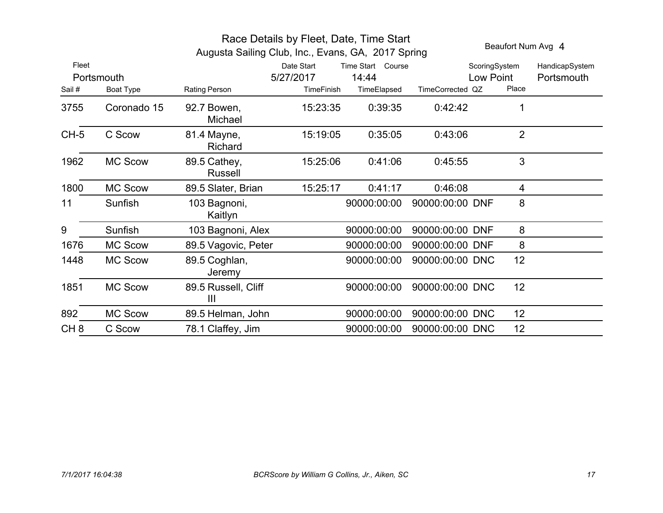| Race Details by Fleet, Date, Time Start<br>Augusta Sailing Club, Inc., Evans, GA, 2017 Spring |                |                                       |                   |                   |                  |               |                 | Beaufort Num Avg 4 |  |  |
|-----------------------------------------------------------------------------------------------|----------------|---------------------------------------|-------------------|-------------------|------------------|---------------|-----------------|--------------------|--|--|
| Fleet                                                                                         |                |                                       | Date Start        | Time Start Course |                  | ScoringSystem |                 | HandicapSystem     |  |  |
|                                                                                               | Portsmouth     |                                       | 5/27/2017         | 14:44             |                  | Low Point     |                 | Portsmouth         |  |  |
| Sail#                                                                                         | Boat Type      | Rating Person                         | <b>TimeFinish</b> | TimeElapsed       | TimeCorrected QZ |               | Place           |                    |  |  |
| 3755                                                                                          | Coronado 15    | 92.7 Bowen,<br>Michael                | 15:23:35          | 0:39:35           | 0:42:42          |               | 1               |                    |  |  |
| $CH-5$                                                                                        | C Scow         | 81.4 Mayne,<br>Richard                | 15:19:05          | 0:35:05           | 0:43:06          |               | $\overline{2}$  |                    |  |  |
| 1962                                                                                          | <b>MC Scow</b> | 89.5 Cathey,<br>Russell               | 15:25:06          | 0:41:06           | 0:45:55          |               | 3               |                    |  |  |
| 1800                                                                                          | <b>MC Scow</b> | 89.5 Slater, Brian                    | 15:25:17          | 0:41:17           | 0:46:08          |               | 4               |                    |  |  |
| 11                                                                                            | Sunfish        | 103 Bagnoni,<br>Kaitlyn               |                   | 90000:00:00       | 90000:00:00 DNF  |               | 8               |                    |  |  |
| 9                                                                                             | Sunfish        | 103 Bagnoni, Alex                     |                   | 90000:00:00       | 90000:00:00 DNF  |               | 8               |                    |  |  |
| 1676                                                                                          | <b>MC Scow</b> | 89.5 Vagovic, Peter                   |                   | 90000:00:00       | 90000:00:00 DNF  |               | 8               |                    |  |  |
| 1448                                                                                          | <b>MC Scow</b> | 89.5 Coghlan,<br>Jeremy               |                   | 90000:00:00       | 90000:00:00 DNC  |               | 12 <sub>2</sub> |                    |  |  |
| 1851                                                                                          | <b>MC Scow</b> | 89.5 Russell, Cliff<br>$\mathbf{III}$ |                   | 90000:00:00       | 90000:00:00 DNC  |               | 12              |                    |  |  |
| 892                                                                                           | <b>MC Scow</b> | 89.5 Helman, John                     |                   | 90000:00:00       | 90000:00:00 DNC  |               | 12 <sub>2</sub> |                    |  |  |
| CH <sub>8</sub>                                                                               | C Scow         | 78.1 Claffey, Jim                     |                   | 90000:00:00       | 90000:00:00 DNC  |               | 12              |                    |  |  |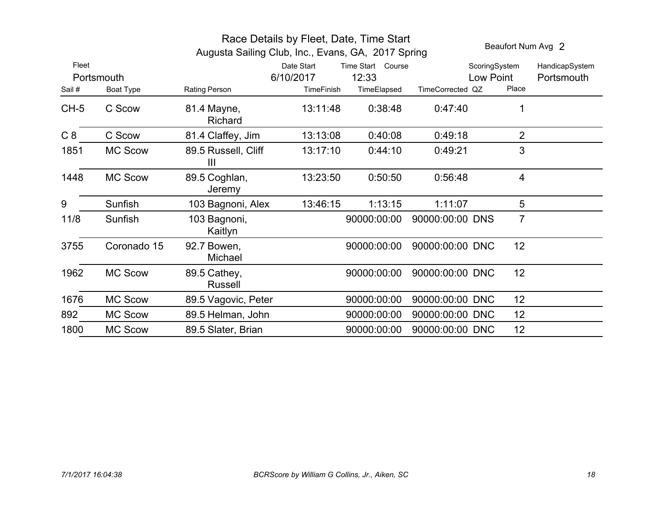|        |                |                                                    | Beaufort Num Avg 2      |                            |                  |                            |                              |
|--------|----------------|----------------------------------------------------|-------------------------|----------------------------|------------------|----------------------------|------------------------------|
| Fleet  | Portsmouth     | Augusta Sailing Club, Inc., Evans, GA, 2017 Spring | Date Start<br>6/10/2017 | Time Start Course<br>12:33 |                  | ScoringSystem<br>Low Point | HandicapSystem<br>Portsmouth |
| Sail#  | Boat Type      | Rating Person                                      | TimeFinish              | TimeElapsed                | TimeCorrected QZ |                            | Place                        |
| $CH-5$ | C Scow         | 81.4 Mayne,<br>Richard                             | 13:11:48                | 0:38:48                    | 0:47:40          |                            | 1                            |
| C8     | C Scow         | 81.4 Claffey, Jim                                  | 13:13:08                | 0:40:08                    | 0:49:18          |                            | $\overline{2}$               |
| 1851   | <b>MC Scow</b> | 89.5 Russell, Cliff<br>$\mathbf{III}$              | 13:17:10                | 0:44:10                    | 0:49:21          |                            | 3                            |
| 1448   | <b>MC Scow</b> | 89.5 Coghlan,<br>Jeremy                            | 13:23:50                | 0:50:50                    | 0:56:48          |                            | 4                            |
| 9      | Sunfish        | 103 Bagnoni, Alex                                  | 13:46:15                | 1:13:15                    | 1:11:07          |                            | 5                            |
| 11/8   | Sunfish        | 103 Bagnoni,<br>Kaitlyn                            |                         | 90000:00:00                | 90000:00:00 DNS  |                            | $\overline{7}$               |
| 3755   | Coronado 15    | 92.7 Bowen,<br>Michael                             |                         | 90000:00:00                | 90000:00:00 DNC  |                            | 12                           |
| 1962   | <b>MC Scow</b> | 89.5 Cathey,<br>Russell                            |                         | 90000:00:00                | 90000:00:00 DNC  |                            | 12                           |
| 1676   | <b>MC Scow</b> | 89.5 Vagovic, Peter                                |                         | 90000:00:00                | 90000:00:00 DNC  |                            | 12 <sup>2</sup>              |
| 892    | <b>MC Scow</b> | 89.5 Helman, John                                  |                         | 90000:00:00                | 90000:00:00 DNC  |                            | 12                           |
| 1800   | <b>MC Scow</b> | 89.5 Slater, Brian                                 |                         | 90000:00:00                | 90000:00:00 DNC  |                            | 12                           |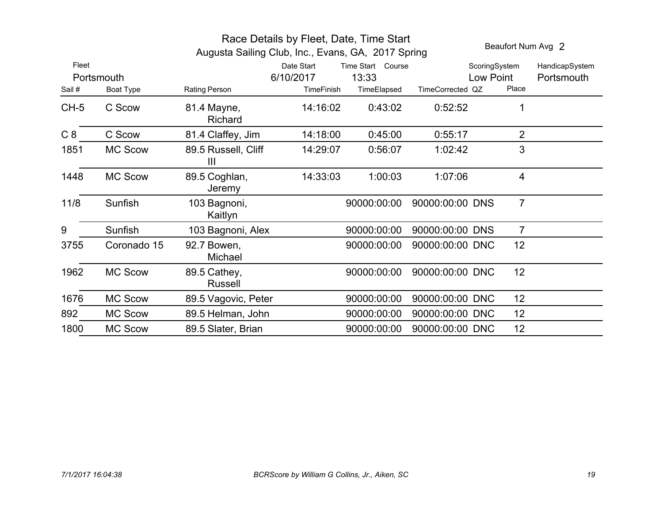|        |                | Augusta Sailing Club, Inc., Evans, GA, 2017 Spring | Beaufort Num Avg 2      |                            |                  |                            |                |                              |
|--------|----------------|----------------------------------------------------|-------------------------|----------------------------|------------------|----------------------------|----------------|------------------------------|
| Fleet  | Portsmouth     |                                                    | Date Start<br>6/10/2017 | Time Start Course<br>13:33 |                  | ScoringSystem<br>Low Point |                | HandicapSystem<br>Portsmouth |
| Sail#  | Boat Type      | Rating Person                                      | TimeFinish              | TimeElapsed                | TimeCorrected QZ |                            | Place          |                              |
| $CH-5$ | C Scow         | 81.4 Mayne,<br>Richard                             | 14:16:02                | 0:43:02                    | 0.52:52          |                            |                |                              |
| C8     | C Scow         | 81.4 Claffey, Jim                                  | 14:18:00                | 0:45:00                    | 0:55:17          |                            | $\overline{2}$ |                              |
| 1851   | <b>MC Scow</b> | 89.5 Russell, Cliff<br>Ш                           | 14:29:07                | 0:56:07                    | 1:02:42          |                            | 3              |                              |
| 1448   | <b>MC Scow</b> | 89.5 Coghlan,<br><b>Jeremy</b>                     | 14:33:03                | 1:00:03                    | 1:07:06          |                            | $\overline{4}$ |                              |
| 11/8   | Sunfish        | 103 Bagnoni,<br>Kaitlyn                            |                         | 90000:00:00                | 90000:00:00 DNS  |                            | $\overline{7}$ |                              |
| 9      | Sunfish        | 103 Bagnoni, Alex                                  |                         | 90000:00:00                | 90000:00:00 DNS  |                            | $\overline{7}$ |                              |
| 3755   | Coronado 15    | 92.7 Bowen,<br>Michael                             |                         | 90000:00:00                | 90000:00:00 DNC  |                            | 12             |                              |
| 1962   | <b>MC Scow</b> | 89.5 Cathey,<br>Russell                            |                         | 90000:00:00                | 90000:00:00 DNC  |                            | 12             |                              |
| 1676   | <b>MC Scow</b> | 89.5 Vagovic, Peter                                |                         | 90000:00:00                | 90000:00:00 DNC  |                            | 12             |                              |
| 892    | <b>MC Scow</b> | 89.5 Helman, John                                  |                         | 90000:00:00                | 90000:00:00 DNC  |                            | 12             |                              |
| 1800   | <b>MC Scow</b> | 89.5 Slater, Brian                                 |                         | 90000:00:00                | 90000:00:00 DNC  |                            | 12             |                              |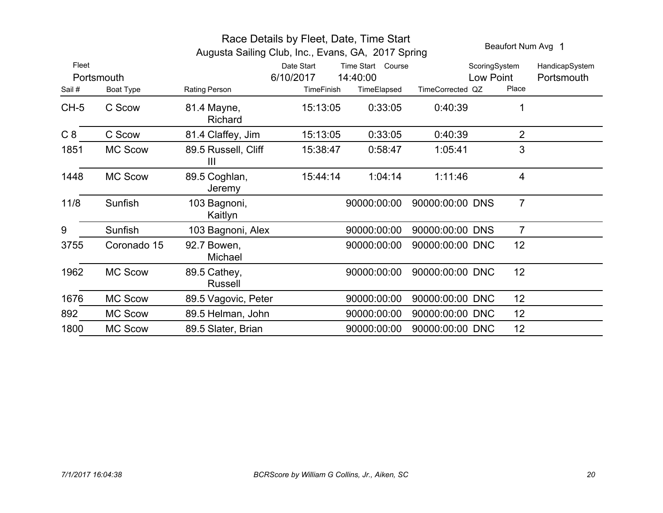| Race Details by Fleet, Date, Time Start<br>Beaufort Num Avg 1<br>Augusta Sailing Club, Inc., Evans, GA, 2017 Spring |                         |                                       |                                       |                                              |                  |                                     |                              |  |  |
|---------------------------------------------------------------------------------------------------------------------|-------------------------|---------------------------------------|---------------------------------------|----------------------------------------------|------------------|-------------------------------------|------------------------------|--|--|
| Fleet<br>Sail #                                                                                                     | Portsmouth<br>Boat Type | Rating Person                         | Date Start<br>6/10/2017<br>TimeFinish | Time Start Course<br>14:40:00<br>TimeElapsed | TimeCorrected QZ | ScoringSystem<br>Low Point<br>Place | HandicapSystem<br>Portsmouth |  |  |
| $CH-5$                                                                                                              | C Scow                  | 81.4 Mayne,<br>Richard                | 15:13:05                              | 0:33:05                                      | 0:40:39          |                                     | 1                            |  |  |
| C8                                                                                                                  | C Scow                  | 81.4 Claffey, Jim                     | 15:13:05                              | 0:33:05                                      | 0:40:39          |                                     | $\overline{2}$               |  |  |
| 1851                                                                                                                | <b>MC Scow</b>          | 89.5 Russell, Cliff<br>$\mathbf{III}$ | 15:38:47                              | 0:58:47                                      | 1:05:41          |                                     | 3                            |  |  |
| 1448                                                                                                                | <b>MC Scow</b>          | 89.5 Coghlan,<br>Jeremy               | 15:44:14                              | 1:04:14                                      | 1:11:46          |                                     | $\overline{4}$               |  |  |
| 11/8                                                                                                                | Sunfish                 | 103 Bagnoni,<br>Kaitlyn               |                                       | 90000:00:00                                  | 90000:00:00 DNS  |                                     | $\overline{7}$               |  |  |
| 9                                                                                                                   | Sunfish                 | 103 Bagnoni, Alex                     |                                       | 90000:00:00                                  | 90000:00:00 DNS  |                                     | $\overline{7}$               |  |  |
| 3755                                                                                                                | Coronado 15             | 92.7 Bowen,<br>Michael                |                                       | 90000:00:00                                  | 90000:00:00 DNC  | 12                                  |                              |  |  |
| 1962                                                                                                                | <b>MC Scow</b>          | 89.5 Cathey,<br>Russell               |                                       | 90000:00:00                                  | 90000:00:00 DNC  | 12                                  |                              |  |  |
| 1676                                                                                                                | <b>MC Scow</b>          | 89.5 Vagovic, Peter                   |                                       | 90000:00:00                                  | 90000:00:00 DNC  | 12                                  |                              |  |  |
| 892                                                                                                                 | <b>MC Scow</b>          | 89.5 Helman, John                     |                                       | 90000:00:00                                  | 90000:00:00 DNC  | 12                                  |                              |  |  |
| 1800                                                                                                                | <b>MC Scow</b>          | 89.5 Slater, Brian                    |                                       | 90000:00:00                                  | 90000:00:00 DNC  | 12                                  |                              |  |  |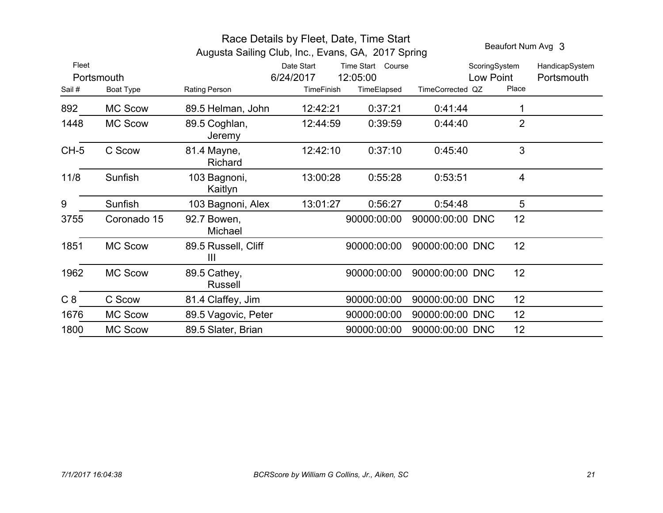|        |                | Beaufort Num Avg 3                                 |                                                          |             |                            |                 |                              |
|--------|----------------|----------------------------------------------------|----------------------------------------------------------|-------------|----------------------------|-----------------|------------------------------|
| Fleet  | Portsmouth     | Augusta Sailing Club, Inc., Evans, GA, 2017 Spring | Date Start<br>Time Start Course<br>6/24/2017<br>12:05:00 |             | ScoringSystem<br>Low Point |                 | HandicapSystem<br>Portsmouth |
| Sail#  | Boat Type      | Rating Person                                      | <b>TimeFinish</b>                                        | TimeElapsed | TimeCorrected QZ           | Place           |                              |
| 892    | <b>MC Scow</b> | 89.5 Helman, John                                  | 12:42:21                                                 | 0:37:21     | 0.41:44                    |                 |                              |
| 1448   | <b>MC Scow</b> | 89.5 Coghlan,<br>Jeremy                            | 12:44:59                                                 | 0:39:59     | 0.44:40                    | $\overline{2}$  |                              |
| $CH-5$ | C Scow         | 81.4 Mayne,<br>Richard                             | 12:42:10                                                 | 0:37:10     | 0:45:40                    | 3               |                              |
| 11/8   | Sunfish        | 103 Bagnoni,<br>Kaitlyn                            | 13:00:28                                                 | 0:55:28     | 0:53:51                    | $\overline{4}$  |                              |
| 9      | Sunfish        | 103 Bagnoni, Alex                                  | 13:01:27                                                 | 0:56:27     | 0:54:48                    | 5               |                              |
| 3755   | Coronado 15    | 92.7 Bowen,<br>Michael                             |                                                          | 90000:00:00 | 90000:00:00 DNC            | 12              |                              |
| 1851   | <b>MC Scow</b> | 89.5 Russell, Cliff<br>III                         |                                                          | 90000:00:00 | 90000:00:00 DNC            | 12              |                              |
| 1962   | <b>MC Scow</b> | 89.5 Cathey,<br>Russell                            |                                                          | 90000:00:00 | 90000:00:00 DNC            | 12 <sup>2</sup> |                              |
| C8     | C Scow         | 81.4 Claffey, Jim                                  |                                                          | 90000:00:00 | 90000:00:00 DNC            | 12 <sub>2</sub> |                              |
| 1676   | <b>MC Scow</b> | 89.5 Vagovic, Peter                                |                                                          | 90000:00:00 | 90000:00:00 DNC            | 12              |                              |
| 1800   | <b>MC Scow</b> | 89.5 Slater, Brian                                 |                                                          | 90000:00:00 | 90000:00:00 DNC            | 12              |                              |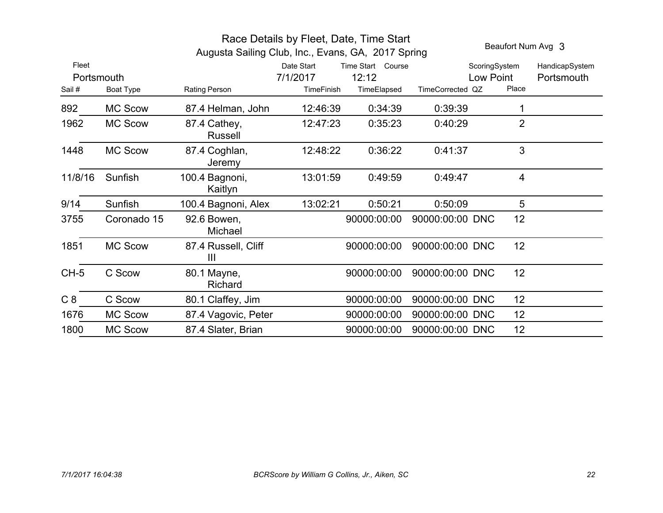|            |                | Augusta Sailing Club, Inc., Evans, GA, 2017 Spring |                   |                   |                  | Beaufort Num Avg 3 |                |
|------------|----------------|----------------------------------------------------|-------------------|-------------------|------------------|--------------------|----------------|
| Fleet      |                |                                                    | Date Start        | Time Start Course |                  | ScoringSystem      | HandicapSystem |
| Portsmouth |                |                                                    | 7/1/2017          | 12:12             |                  | Low Point          | Portsmouth     |
| Sail#      | Boat Type      | Rating Person                                      | <b>TimeFinish</b> | TimeElapsed       | TimeCorrected QZ | Place              |                |
| 892        | <b>MC Scow</b> | 87.4 Helman, John                                  | 12:46:39          | 0:34:39           | 0:39:39          | 1                  |                |
| 1962       | <b>MC Scow</b> | 87.4 Cathey,<br><b>Russell</b>                     | 12:47:23          | 0:35:23           | 0:40:29          | $\overline{2}$     |                |
| 1448       | <b>MC Scow</b> | 87.4 Coghlan,<br>Jeremy                            | 12:48:22          | 0:36:22           | 0:41:37          | 3                  |                |
| 11/8/16    | Sunfish        | 100.4 Bagnoni,<br>Kaitlyn                          | 13:01:59          | 0:49:59           | 0:49:47          | 4                  |                |
| 9/14       | Sunfish        | 100.4 Bagnoni, Alex                                | 13:02:21          | 0:50:21           | 0:50:09          | 5                  |                |
| 3755       | Coronado 15    | 92.6 Bowen,<br>Michael                             |                   | 90000:00:00       | 90000:00:00 DNC  | 12                 |                |
| 1851       | <b>MC Scow</b> | 87.4 Russell, Cliff<br>Ш                           |                   | 90000:00:00       | 90000:00:00 DNC  | 12                 |                |
| $CH-5$     | C Scow         | 80.1 Mayne,<br>Richard                             |                   | 90000:00:00       | 90000:00:00 DNC  | 12                 |                |
| C8         | C Scow         | 80.1 Claffey, Jim                                  |                   | 90000:00:00       | 90000:00:00 DNC  | 12 <sub>2</sub>    |                |
| 1676       | <b>MC Scow</b> | 87.4 Vagovic, Peter                                |                   | 90000:00:00       | 90000:00:00 DNC  | 12                 |                |
| 1800       | <b>MC Scow</b> | 87.4 Slater, Brian                                 |                   | 90000:00:00       | 90000:00:00 DNC  | 12                 |                |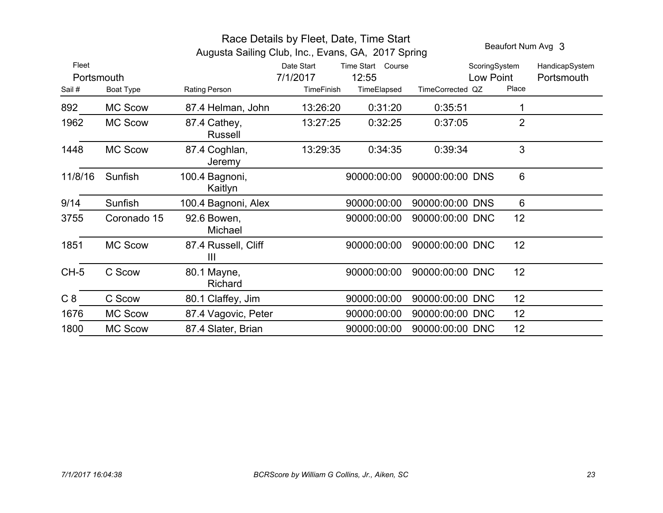|                               |                | Beaufort Num Avg 3                                                  |                                             |                                           |                  |                                     |                              |
|-------------------------------|----------------|---------------------------------------------------------------------|---------------------------------------------|-------------------------------------------|------------------|-------------------------------------|------------------------------|
| Fleet<br>Portsmouth<br>Sail # | Boat Type      | Augusta Sailing Club, Inc., Evans, GA, 2017 Spring<br>Rating Person | Date Start<br>7/1/2017<br><b>TimeFinish</b> | Time Start Course<br>12:55<br>TimeElapsed | TimeCorrected QZ | ScoringSystem<br>Low Point<br>Place | HandicapSystem<br>Portsmouth |
| 892                           | <b>MC Scow</b> | 87.4 Helman, John                                                   | 13:26:20                                    | 0:31:20                                   | 0:35:51          | 1                                   |                              |
| 1962                          | <b>MC Scow</b> | 87.4 Cathey,<br><b>Russell</b>                                      | 13:27:25                                    | 0:32:25                                   | 0:37:05          | $\overline{2}$                      |                              |
| 1448                          | <b>MC Scow</b> | 87.4 Coghlan,<br>Jeremy                                             | 13:29:35                                    | 0:34:35                                   | 0:39:34          | 3                                   |                              |
| 11/8/16                       | Sunfish        | 100.4 Bagnoni,<br>Kaitlyn                                           |                                             | 90000:00:00                               | 90000:00:00 DNS  | 6                                   |                              |
| 9/14                          | Sunfish        | 100.4 Bagnoni, Alex                                                 |                                             | 90000:00:00                               | 90000:00:00 DNS  | 6                                   |                              |
| 3755                          | Coronado 15    | 92.6 Bowen,<br>Michael                                              |                                             | 90000:00:00                               | 90000:00:00 DNC  | 12                                  |                              |
| 1851                          | <b>MC Scow</b> | 87.4 Russell, Cliff<br>III                                          |                                             | 90000:00:00                               | 90000:00:00 DNC  | 12                                  |                              |
| $CH-5$                        | C Scow         | 80.1 Mayne,<br>Richard                                              |                                             | 90000:00:00                               | 90000:00:00 DNC  | 12                                  |                              |
| C8                            | C Scow         | 80.1 Claffey, Jim                                                   |                                             | 90000:00:00                               | 90000:00:00 DNC  | 12                                  |                              |
| 1676                          | <b>MC Scow</b> | 87.4 Vagovic, Peter                                                 |                                             | 90000:00:00                               | 90000:00:00 DNC  | 12                                  |                              |
| 1800                          | <b>MC Scow</b> | 87.4 Slater, Brian                                                  |                                             | 90000:00:00                               | 90000:00:00 DNC  | 12                                  |                              |